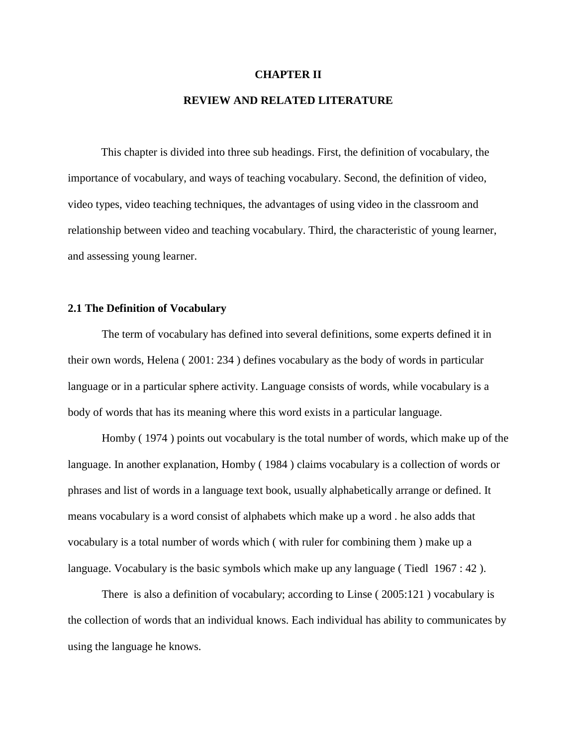#### **CHAPTER II**

# **REVIEW AND RELATED LITERATURE**

This chapter is divided into three sub headings. First, the definition of vocabulary, the importance of vocabulary, and ways of teaching vocabulary. Second, the definition of video, video types, video teaching techniques, the advantages of using video in the classroom and relationship between video and teaching vocabulary. Third, the characteristic of young learner, and assessing young learner.

### **2.1 The Definition of Vocabulary**

The term of vocabulary has defined into several definitions, some experts defined it in their own words, Helena ( 2001: 234 ) defines vocabulary as the body of words in particular language or in a particular sphere activity. Language consists of words, while vocabulary is a body of words that has its meaning where this word exists in a particular language.

Homby ( 1974 ) points out vocabulary is the total number of words, which make up of the language. In another explanation, Homby ( 1984 ) claims vocabulary is a collection of words or phrases and list of words in a language text book, usually alphabetically arrange or defined. It means vocabulary is a word consist of alphabets which make up a word . he also adds that vocabulary is a total number of words which ( with ruler for combining them ) make up a language. Vocabulary is the basic symbols which make up any language ( Tiedl 1967 : 42 ).

There is also a definition of vocabulary; according to Linse ( 2005:121 ) vocabulary is the collection of words that an individual knows. Each individual has ability to communicates by using the language he knows.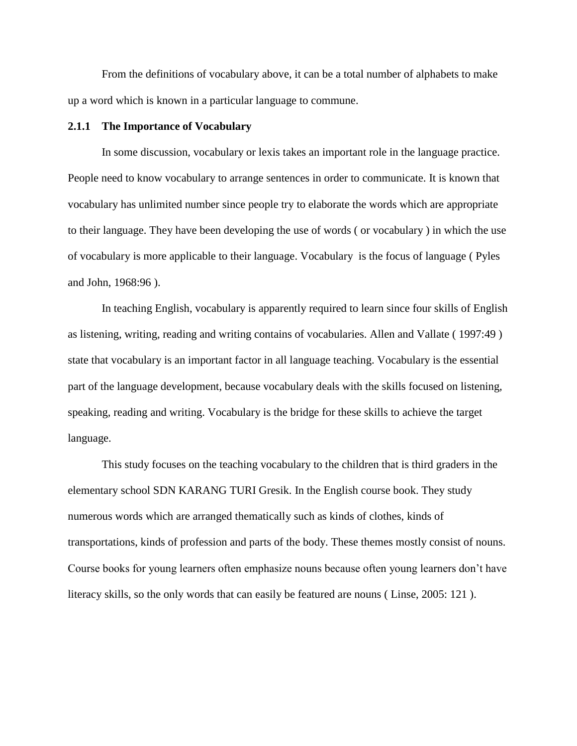From the definitions of vocabulary above, it can be a total number of alphabets to make up a word which is known in a particular language to commune.

#### **2.1.1 The Importance of Vocabulary**

In some discussion, vocabulary or lexis takes an important role in the language practice. People need to know vocabulary to arrange sentences in order to communicate. It is known that vocabulary has unlimited number since people try to elaborate the words which are appropriate to their language. They have been developing the use of words ( or vocabulary ) in which the use of vocabulary is more applicable to their language. Vocabulary is the focus of language ( Pyles and John, 1968:96 ).

In teaching English, vocabulary is apparently required to learn since four skills of English as listening, writing, reading and writing contains of vocabularies. Allen and Vallate ( 1997:49 ) state that vocabulary is an important factor in all language teaching. Vocabulary is the essential part of the language development, because vocabulary deals with the skills focused on listening, speaking, reading and writing. Vocabulary is the bridge for these skills to achieve the target language.

This study focuses on the teaching vocabulary to the children that is third graders in the elementary school SDN KARANG TURI Gresik. In the English course book. They study numerous words which are arranged thematically such as kinds of clothes, kinds of transportations, kinds of profession and parts of the body. These themes mostly consist of nouns. Course books for young learners often emphasize nouns because often young learners don't have literacy skills, so the only words that can easily be featured are nouns ( Linse, 2005: 121 ).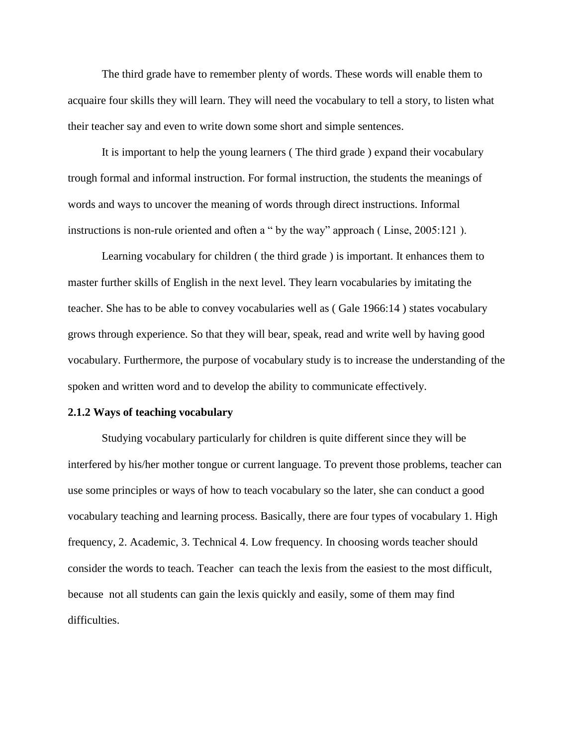The third grade have to remember plenty of words. These words will enable them to acquaire four skills they will learn. They will need the vocabulary to tell a story, to listen what their teacher say and even to write down some short and simple sentences.

It is important to help the young learners ( The third grade ) expand their vocabulary trough formal and informal instruction. For formal instruction, the students the meanings of words and ways to uncover the meaning of words through direct instructions. Informal instructions is non-rule oriented and often a " by the way" approach ( Linse, 2005:121 ).

Learning vocabulary for children ( the third grade ) is important. It enhances them to master further skills of English in the next level. They learn vocabularies by imitating the teacher. She has to be able to convey vocabularies well as ( Gale 1966:14 ) states vocabulary grows through experience. So that they will bear, speak, read and write well by having good vocabulary. Furthermore, the purpose of vocabulary study is to increase the understanding of the spoken and written word and to develop the ability to communicate effectively.

## **2.1.2 Ways of teaching vocabulary**

Studying vocabulary particularly for children is quite different since they will be interfered by his/her mother tongue or current language. To prevent those problems, teacher can use some principles or ways of how to teach vocabulary so the later, she can conduct a good vocabulary teaching and learning process. Basically, there are four types of vocabulary 1. High frequency, 2. Academic, 3. Technical 4. Low frequency. In choosing words teacher should consider the words to teach. Teacher can teach the lexis from the easiest to the most difficult, because not all students can gain the lexis quickly and easily, some of them may find difficulties.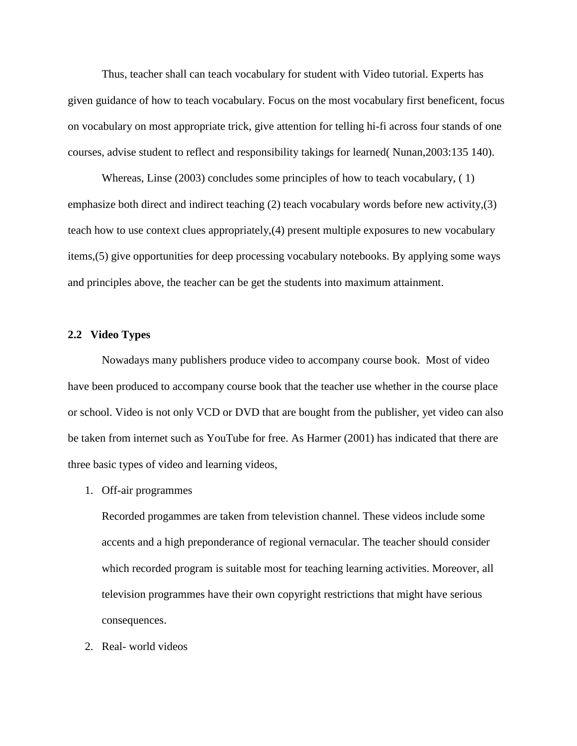Thus, teacher shall can teach vocabulary for student with Video tutorial. Experts has given guidance of how to teach vocabulary. Focus on the most vocabulary first beneficent, focus on vocabulary on most appropriate trick, give attention for telling hi-fi across four stands of one courses, advise student to reflect and responsibility takings for learned( Nunan,2003:135 140).

Whereas, Linse (2003) concludes some principles of how to teach vocabulary, ( 1) emphasize both direct and indirect teaching (2) teach vocabulary words before new activity,(3) teach how to use context clues appropriately,(4) present multiple exposures to new vocabulary items,(5) give opportunities for deep processing vocabulary notebooks. By applying some ways and principles above, the teacher can be get the students into maximum attainment.

#### **2.2 Video Types**

Nowadays many publishers produce video to accompany course book. Most of video have been produced to accompany course book that the teacher use whether in the course place or school. Video is not only VCD or DVD that are bought from the publisher, yet video can also be taken from internet such as YouTube for free. As Harmer (2001) has indicated that there are three basic types of video and learning videos,

1. Off-air programmes

Recorded progammes are taken from televistion channel. These videos include some accents and a high preponderance of regional vernacular. The teacher should consider which recorded program is suitable most for teaching learning activities. Moreover, all television programmes have their own copyright restrictions that might have serious consequences.

2. Real- world videos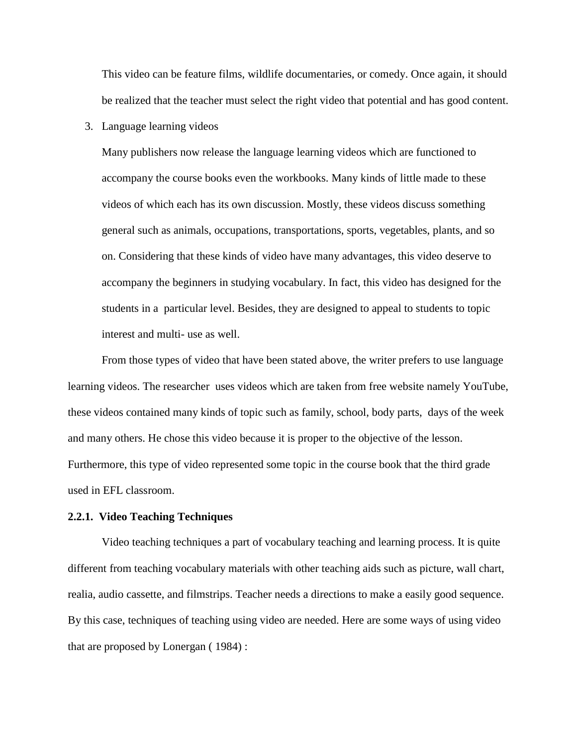This video can be feature films, wildlife documentaries, or comedy. Once again, it should be realized that the teacher must select the right video that potential and has good content.

3. Language learning videos

Many publishers now release the language learning videos which are functioned to accompany the course books even the workbooks. Many kinds of little made to these videos of which each has its own discussion. Mostly, these videos discuss something general such as animals, occupations, transportations, sports, vegetables, plants, and so on. Considering that these kinds of video have many advantages, this video deserve to accompany the beginners in studying vocabulary. In fact, this video has designed for the students in a particular level. Besides, they are designed to appeal to students to topic interest and multi- use as well.

From those types of video that have been stated above, the writer prefers to use language learning videos. The researcher uses videos which are taken from free website namely YouTube, these videos contained many kinds of topic such as family, school, body parts, days of the week and many others. He chose this video because it is proper to the objective of the lesson. Furthermore, this type of video represented some topic in the course book that the third grade used in EFL classroom.

#### **2.2.1. Video Teaching Techniques**

Video teaching techniques a part of vocabulary teaching and learning process. It is quite different from teaching vocabulary materials with other teaching aids such as picture, wall chart, realia, audio cassette, and filmstrips. Teacher needs a directions to make a easily good sequence. By this case, techniques of teaching using video are needed. Here are some ways of using video that are proposed by Lonergan ( 1984) :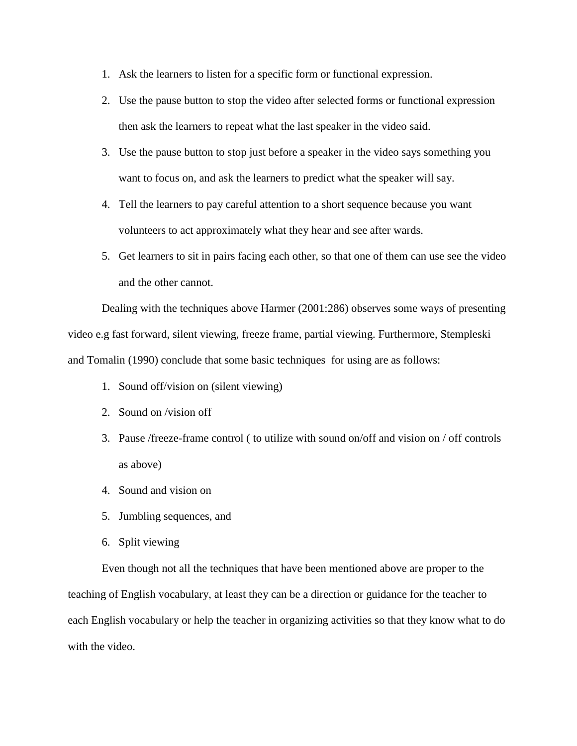- 1. Ask the learners to listen for a specific form or functional expression.
- 2. Use the pause button to stop the video after selected forms or functional expression then ask the learners to repeat what the last speaker in the video said.
- 3. Use the pause button to stop just before a speaker in the video says something you want to focus on, and ask the learners to predict what the speaker will say.
- 4. Tell the learners to pay careful attention to a short sequence because you want volunteers to act approximately what they hear and see after wards.
- 5. Get learners to sit in pairs facing each other, so that one of them can use see the video and the other cannot.

Dealing with the techniques above Harmer (2001:286) observes some ways of presenting video e.g fast forward, silent viewing, freeze frame, partial viewing. Furthermore, Stempleski and Tomalin (1990) conclude that some basic techniques for using are as follows:

- 1. Sound off/vision on (silent viewing)
- 2. Sound on /vision off
- 3. Pause /freeze-frame control ( to utilize with sound on/off and vision on / off controls as above)
- 4. Sound and vision on
- 5. Jumbling sequences, and
- 6. Split viewing

Even though not all the techniques that have been mentioned above are proper to the teaching of English vocabulary, at least they can be a direction or guidance for the teacher to each English vocabulary or help the teacher in organizing activities so that they know what to do with the video.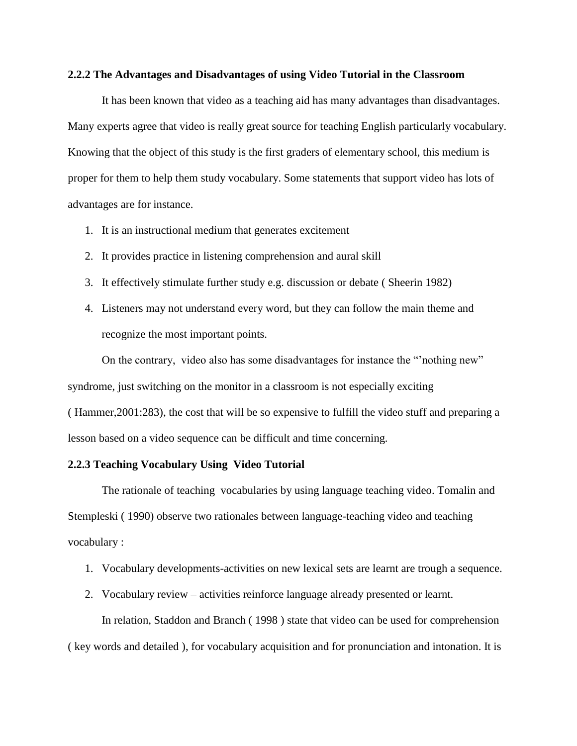#### **2.2.2 The Advantages and Disadvantages of using Video Tutorial in the Classroom**

It has been known that video as a teaching aid has many advantages than disadvantages. Many experts agree that video is really great source for teaching English particularly vocabulary. Knowing that the object of this study is the first graders of elementary school, this medium is proper for them to help them study vocabulary. Some statements that support video has lots of advantages are for instance.

- 1. It is an instructional medium that generates excitement
- 2. It provides practice in listening comprehension and aural skill
- 3. It effectively stimulate further study e.g. discussion or debate ( Sheerin 1982)
- 4. Listeners may not understand every word, but they can follow the main theme and recognize the most important points.

On the contrary, video also has some disadvantages for instance the "'nothing new" syndrome, just switching on the monitor in a classroom is not especially exciting ( Hammer,2001:283), the cost that will be so expensive to fulfill the video stuff and preparing a lesson based on a video sequence can be difficult and time concerning.

### **2.2.3 Teaching Vocabulary Using Video Tutorial**

The rationale of teaching vocabularies by using language teaching video. Tomalin and Stempleski ( 1990) observe two rationales between language-teaching video and teaching vocabulary :

- 1. Vocabulary developments-activities on new lexical sets are learnt are trough a sequence.
- 2. Vocabulary review activities reinforce language already presented or learnt.

In relation, Staddon and Branch ( 1998 ) state that video can be used for comprehension

( key words and detailed ), for vocabulary acquisition and for pronunciation and intonation. It is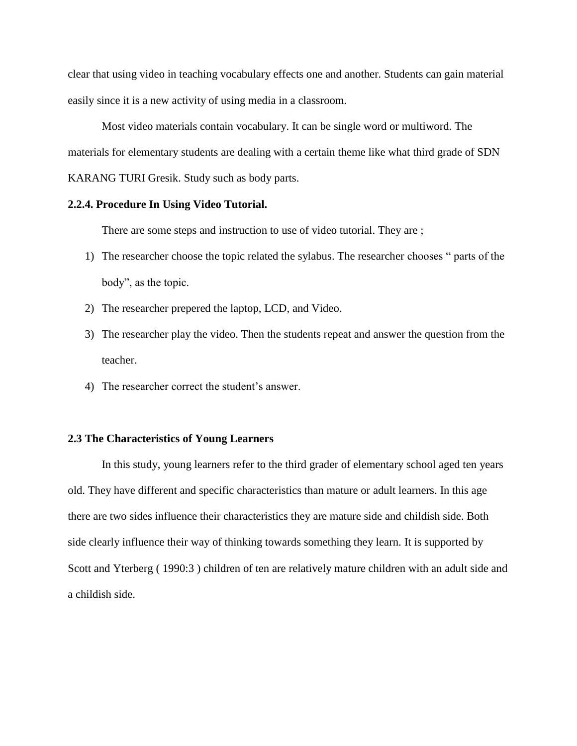clear that using video in teaching vocabulary effects one and another. Students can gain material easily since it is a new activity of using media in a classroom.

Most video materials contain vocabulary. It can be single word or multiword. The materials for elementary students are dealing with a certain theme like what third grade of SDN KARANG TURI Gresik. Study such as body parts.

## **2.2.4. Procedure In Using Video Tutorial.**

There are some steps and instruction to use of video tutorial. They are ;

- 1) The researcher choose the topic related the sylabus. The researcher chooses " parts of the body", as the topic.
- 2) The researcher prepered the laptop, LCD, and Video.
- 3) The researcher play the video. Then the students repeat and answer the question from the teacher.
- 4) The researcher correct the student's answer.

#### **2.3 The Characteristics of Young Learners**

In this study, young learners refer to the third grader of elementary school aged ten years old. They have different and specific characteristics than mature or adult learners. In this age there are two sides influence their characteristics they are mature side and childish side. Both side clearly influence their way of thinking towards something they learn. It is supported by Scott and Yterberg ( 1990:3 ) children of ten are relatively mature children with an adult side and a childish side.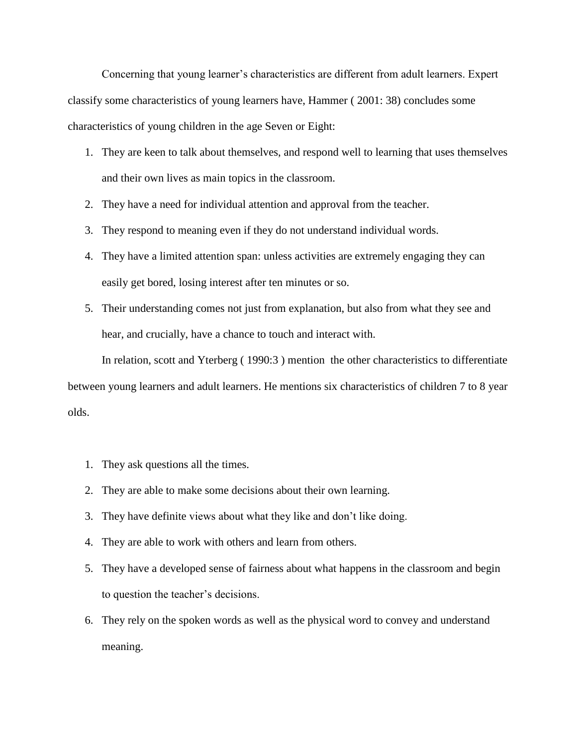Concerning that young learner's characteristics are different from adult learners. Expert classify some characteristics of young learners have, Hammer ( 2001: 38) concludes some characteristics of young children in the age Seven or Eight:

- 1. They are keen to talk about themselves, and respond well to learning that uses themselves and their own lives as main topics in the classroom.
- 2. They have a need for individual attention and approval from the teacher.
- 3. They respond to meaning even if they do not understand individual words.
- 4. They have a limited attention span: unless activities are extremely engaging they can easily get bored, losing interest after ten minutes or so.
- 5. Their understanding comes not just from explanation, but also from what they see and hear, and crucially, have a chance to touch and interact with.

In relation, scott and Yterberg ( 1990:3 ) mention the other characteristics to differentiate between young learners and adult learners. He mentions six characteristics of children 7 to 8 year olds.

- 1. They ask questions all the times.
- 2. They are able to make some decisions about their own learning.
- 3. They have definite views about what they like and don't like doing.
- 4. They are able to work with others and learn from others.
- 5. They have a developed sense of fairness about what happens in the classroom and begin to question the teacher's decisions.
- 6. They rely on the spoken words as well as the physical word to convey and understand meaning.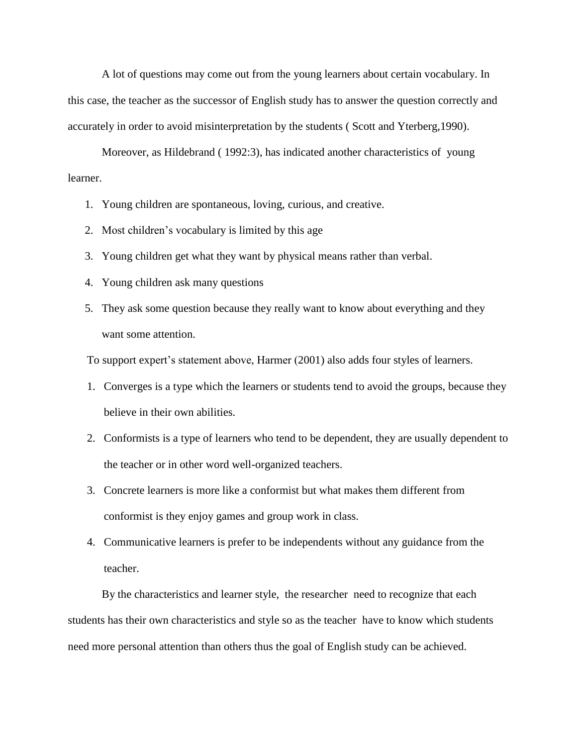A lot of questions may come out from the young learners about certain vocabulary. In this case, the teacher as the successor of English study has to answer the question correctly and accurately in order to avoid misinterpretation by the students ( Scott and Yterberg,1990).

Moreover, as Hildebrand ( 1992:3), has indicated another characteristics of young learner.

- 1. Young children are spontaneous, loving, curious, and creative.
- 2. Most children's vocabulary is limited by this age
- 3. Young children get what they want by physical means rather than verbal.
- 4. Young children ask many questions
- 5. They ask some question because they really want to know about everything and they want some attention.

To support expert's statement above, Harmer (2001) also adds four styles of learners.

- 1. Converges is a type which the learners or students tend to avoid the groups, because they believe in their own abilities.
- 2. Conformists is a type of learners who tend to be dependent, they are usually dependent to the teacher or in other word well-organized teachers.
- 3. Concrete learners is more like a conformist but what makes them different from conformist is they enjoy games and group work in class.
- 4. Communicative learners is prefer to be independents without any guidance from the teacher.

By the characteristics and learner style, the researcher need to recognize that each students has their own characteristics and style so as the teacher have to know which students need more personal attention than others thus the goal of English study can be achieved.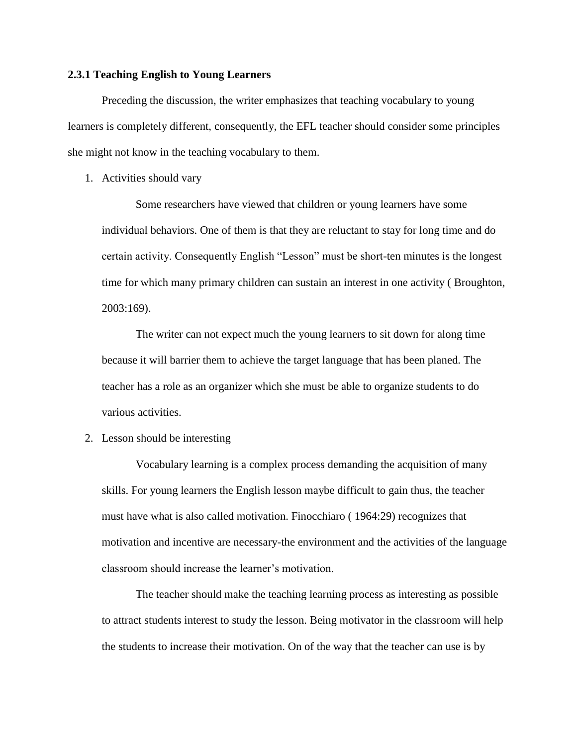## **2.3.1 Teaching English to Young Learners**

Preceding the discussion, the writer emphasizes that teaching vocabulary to young learners is completely different, consequently, the EFL teacher should consider some principles she might not know in the teaching vocabulary to them.

1. Activities should vary

Some researchers have viewed that children or young learners have some individual behaviors. One of them is that they are reluctant to stay for long time and do certain activity. Consequently English "Lesson" must be short-ten minutes is the longest time for which many primary children can sustain an interest in one activity ( Broughton, 2003:169).

The writer can not expect much the young learners to sit down for along time because it will barrier them to achieve the target language that has been planed. The teacher has a role as an organizer which she must be able to organize students to do various activities.

2. Lesson should be interesting

Vocabulary learning is a complex process demanding the acquisition of many skills. For young learners the English lesson maybe difficult to gain thus, the teacher must have what is also called motivation. Finocchiaro ( 1964:29) recognizes that motivation and incentive are necessary-the environment and the activities of the language classroom should increase the learner's motivation.

The teacher should make the teaching learning process as interesting as possible to attract students interest to study the lesson. Being motivator in the classroom will help the students to increase their motivation. On of the way that the teacher can use is by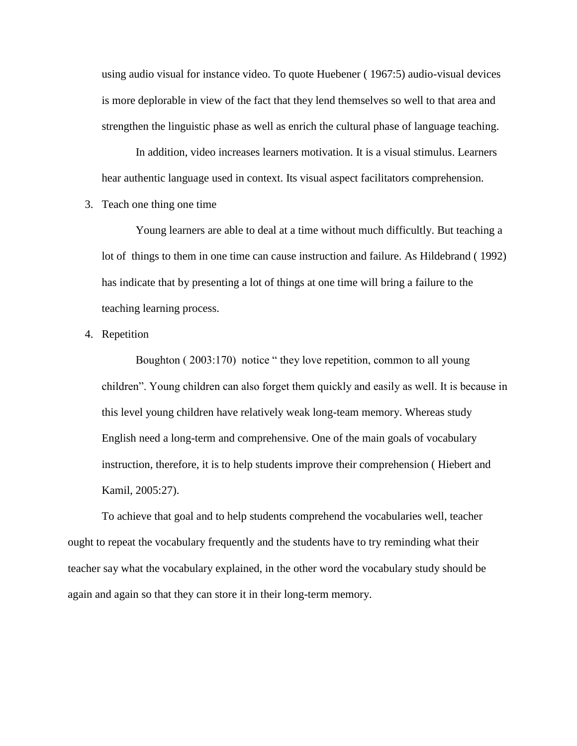using audio visual for instance video. To quote Huebener ( 1967:5) audio-visual devices is more deplorable in view of the fact that they lend themselves so well to that area and strengthen the linguistic phase as well as enrich the cultural phase of language teaching.

In addition, video increases learners motivation. It is a visual stimulus. Learners hear authentic language used in context. Its visual aspect facilitators comprehension.

3. Teach one thing one time

Young learners are able to deal at a time without much difficultly. But teaching a lot of things to them in one time can cause instruction and failure. As Hildebrand ( 1992) has indicate that by presenting a lot of things at one time will bring a failure to the teaching learning process.

4. Repetition

Boughton ( 2003:170) notice " they love repetition, common to all young children". Young children can also forget them quickly and easily as well. It is because in this level young children have relatively weak long-team memory. Whereas study English need a long-term and comprehensive. One of the main goals of vocabulary instruction, therefore, it is to help students improve their comprehension ( Hiebert and Kamil, 2005:27).

To achieve that goal and to help students comprehend the vocabularies well, teacher ought to repeat the vocabulary frequently and the students have to try reminding what their teacher say what the vocabulary explained, in the other word the vocabulary study should be again and again so that they can store it in their long-term memory.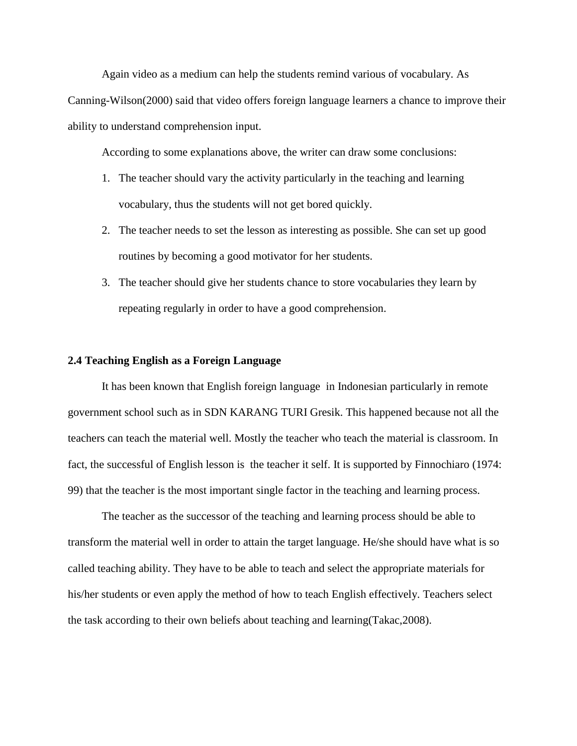Again video as a medium can help the students remind various of vocabulary. As

Canning-Wilson(2000) said that video offers foreign language learners a chance to improve their ability to understand comprehension input.

According to some explanations above, the writer can draw some conclusions:

- 1. The teacher should vary the activity particularly in the teaching and learning vocabulary, thus the students will not get bored quickly.
- 2. The teacher needs to set the lesson as interesting as possible. She can set up good routines by becoming a good motivator for her students.
- 3. The teacher should give her students chance to store vocabularies they learn by repeating regularly in order to have a good comprehension.

# **2.4 Teaching English as a Foreign Language**

It has been known that English foreign language in Indonesian particularly in remote government school such as in SDN KARANG TURI Gresik. This happened because not all the teachers can teach the material well. Mostly the teacher who teach the material is classroom. In fact, the successful of English lesson is the teacher it self. It is supported by Finnochiaro (1974: 99) that the teacher is the most important single factor in the teaching and learning process.

The teacher as the successor of the teaching and learning process should be able to transform the material well in order to attain the target language. He/she should have what is so called teaching ability. They have to be able to teach and select the appropriate materials for his/her students or even apply the method of how to teach English effectively. Teachers select the task according to their own beliefs about teaching and learning(Takac,2008).